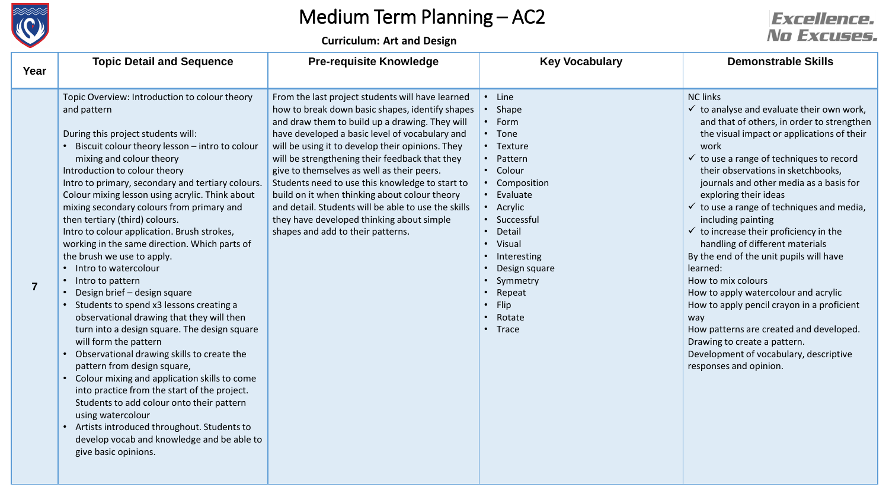

# Medium Term Planning – AC2

**Curriculum: Art and Design**

### **Excellence.** No Excuses.

| Year           | <b>Topic Detail and Sequence</b>                                                                                                                                                                                                                                                                                                                                                                                                                                                                                                                                                                                                                                                                                                                                                                                                                                                                                                                                                                                                                                                                                                                                            | <b>Pre-requisite Knowledge</b>                                                                                                                                                                                                                                                                                                                                                                                                                                                                                                                                                                           | <b>Key Vocabulary</b>                                                                                                                                                                                                                                                | <b>Demonstrable Skills</b>                                                                                                                                                                                                                                                                                                                                                                                                                                                                                                                                                                                                                                                                                                                                                                                                                  |
|----------------|-----------------------------------------------------------------------------------------------------------------------------------------------------------------------------------------------------------------------------------------------------------------------------------------------------------------------------------------------------------------------------------------------------------------------------------------------------------------------------------------------------------------------------------------------------------------------------------------------------------------------------------------------------------------------------------------------------------------------------------------------------------------------------------------------------------------------------------------------------------------------------------------------------------------------------------------------------------------------------------------------------------------------------------------------------------------------------------------------------------------------------------------------------------------------------|----------------------------------------------------------------------------------------------------------------------------------------------------------------------------------------------------------------------------------------------------------------------------------------------------------------------------------------------------------------------------------------------------------------------------------------------------------------------------------------------------------------------------------------------------------------------------------------------------------|----------------------------------------------------------------------------------------------------------------------------------------------------------------------------------------------------------------------------------------------------------------------|---------------------------------------------------------------------------------------------------------------------------------------------------------------------------------------------------------------------------------------------------------------------------------------------------------------------------------------------------------------------------------------------------------------------------------------------------------------------------------------------------------------------------------------------------------------------------------------------------------------------------------------------------------------------------------------------------------------------------------------------------------------------------------------------------------------------------------------------|
| $\overline{7}$ | Topic Overview: Introduction to colour theory<br>and pattern<br>During this project students will:<br>Biscuit colour theory lesson - intro to colour<br>mixing and colour theory<br>Introduction to colour theory<br>Intro to primary, secondary and tertiary colours.<br>Colour mixing lesson using acrylic. Think about<br>mixing secondary colours from primary and<br>then tertiary (third) colours.<br>Intro to colour application. Brush strokes,<br>working in the same direction. Which parts of<br>the brush we use to apply.<br>• Intro to watercolour<br>• Intro to pattern<br>Design brief - design square<br>Students to spend x3 lessons creating a<br>observational drawing that they will then<br>turn into a design square. The design square<br>will form the pattern<br>• Observational drawing skills to create the<br>pattern from design square,<br>• Colour mixing and application skills to come<br>into practice from the start of the project.<br>Students to add colour onto their pattern<br>using watercolour<br>Artists introduced throughout. Students to<br>$\bullet$<br>develop vocab and knowledge and be able to<br>give basic opinions. | From the last project students will have learned<br>how to break down basic shapes, identify shapes<br>and draw them to build up a drawing. They will<br>have developed a basic level of vocabulary and<br>will be using it to develop their opinions. They<br>will be strengthening their feedback that they<br>give to themselves as well as their peers.<br>Students need to use this knowledge to start to<br>build on it when thinking about colour theory<br>and detail. Students will be able to use the skills<br>they have developed thinking about simple<br>shapes and add to their patterns. | • Line<br>• Shape<br>$\cdot$ Form<br>• Tone<br>• Texture<br>• Pattern<br>• Colour<br>• Composition<br>• Evaluate<br>• Acrylic<br>• Successful<br>• Detail<br>• Visual<br>• Interesting<br>Design square<br>Symmetry<br>Repeat<br>$\cdot$ Flip<br>• Rotate<br>• Trace | <b>NC links</b><br>$\checkmark$ to analyse and evaluate their own work,<br>and that of others, in order to strengthen<br>the visual impact or applications of their<br>work<br>$\checkmark$ to use a range of techniques to record<br>their observations in sketchbooks,<br>journals and other media as a basis for<br>exploring their ideas<br>$\checkmark$ to use a range of techniques and media,<br>including painting<br>$\checkmark$ to increase their proficiency in the<br>handling of different materials<br>By the end of the unit pupils will have<br>learned:<br>How to mix colours<br>How to apply watercolour and acrylic<br>How to apply pencil crayon in a proficient<br>way<br>How patterns are created and developed.<br>Drawing to create a pattern.<br>Development of vocabulary, descriptive<br>responses and opinion. |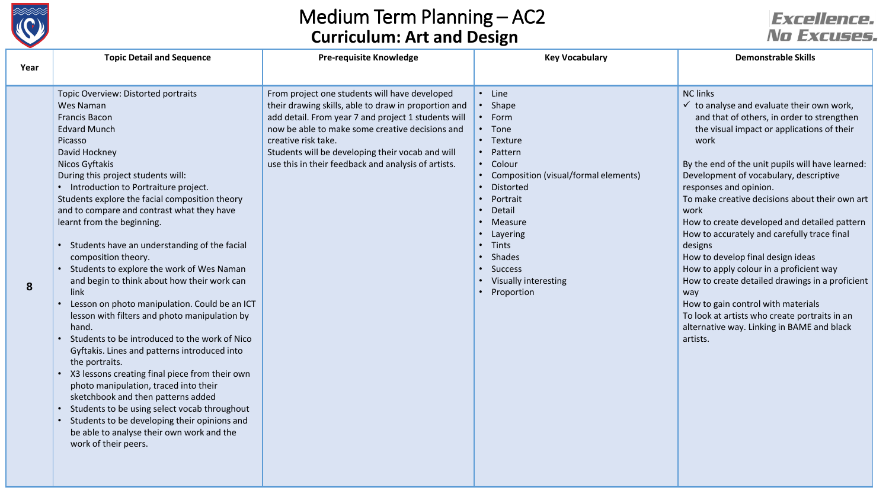

## Medium Term Planning – AC2 **Curriculum: Art and Design**

## *Excellence.* No Excuses.

| Year | <b>Topic Detail and Sequence</b>                                                                                                                                                                                                                                                                                                                                                                                                                                                                                                                                                                                                                                                                                                                                                                                                                                                                                                                                                                                                                                    | <b>Pre-requisite Knowledge</b>                                                                                                                                                                                                                                                                                                                    | <b>Key Vocabulary</b>                                                                                                                                                                                                                                                                                                                                                                                 | <b>Demonstrable Skills</b>                                                                                                                                                                                                                                                                                                                                                                                                                                                                                                                                                                                                                                                                                                                                         |
|------|---------------------------------------------------------------------------------------------------------------------------------------------------------------------------------------------------------------------------------------------------------------------------------------------------------------------------------------------------------------------------------------------------------------------------------------------------------------------------------------------------------------------------------------------------------------------------------------------------------------------------------------------------------------------------------------------------------------------------------------------------------------------------------------------------------------------------------------------------------------------------------------------------------------------------------------------------------------------------------------------------------------------------------------------------------------------|---------------------------------------------------------------------------------------------------------------------------------------------------------------------------------------------------------------------------------------------------------------------------------------------------------------------------------------------------|-------------------------------------------------------------------------------------------------------------------------------------------------------------------------------------------------------------------------------------------------------------------------------------------------------------------------------------------------------------------------------------------------------|--------------------------------------------------------------------------------------------------------------------------------------------------------------------------------------------------------------------------------------------------------------------------------------------------------------------------------------------------------------------------------------------------------------------------------------------------------------------------------------------------------------------------------------------------------------------------------------------------------------------------------------------------------------------------------------------------------------------------------------------------------------------|
|      |                                                                                                                                                                                                                                                                                                                                                                                                                                                                                                                                                                                                                                                                                                                                                                                                                                                                                                                                                                                                                                                                     |                                                                                                                                                                                                                                                                                                                                                   |                                                                                                                                                                                                                                                                                                                                                                                                       |                                                                                                                                                                                                                                                                                                                                                                                                                                                                                                                                                                                                                                                                                                                                                                    |
| 8    | Topic Overview: Distorted portraits<br>Wes Naman<br>Francis Bacon<br><b>Edvard Munch</b><br>Picasso<br>David Hockney<br>Nicos Gyftakis<br>During this project students will:<br>• Introduction to Portraiture project.<br>Students explore the facial composition theory<br>and to compare and contrast what they have<br>learnt from the beginning.<br>Students have an understanding of the facial<br>composition theory.<br>Students to explore the work of Wes Naman<br>and begin to think about how their work can<br>link<br>Lesson on photo manipulation. Could be an ICT<br>lesson with filters and photo manipulation by<br>hand.<br>Students to be introduced to the work of Nico<br>Gyftakis. Lines and patterns introduced into<br>the portraits.<br>X3 lessons creating final piece from their own<br>photo manipulation, traced into their<br>sketchbook and then patterns added<br>Students to be using select vocab throughout<br>Students to be developing their opinions and<br>be able to analyse their own work and the<br>work of their peers. | From project one students will have developed<br>their drawing skills, able to draw in proportion and<br>add detail. From year 7 and project 1 students will<br>now be able to make some creative decisions and<br>creative risk take.<br>Students will be developing their vocab and will<br>use this in their feedback and analysis of artists. | • Line<br>Shape<br>$\bullet$<br>Form<br>$\bullet$<br>• Tone<br>• Texture<br>Pattern<br>$\bullet$<br>• Colour<br>Composition (visual/formal elements)<br>Distorted<br>$\bullet$<br>Portrait<br>$\bullet$<br>Detail<br>$\bullet$<br>Measure<br>$\bullet$<br>• Layering<br>• Tints<br>Shades<br>$\bullet$<br><b>Success</b><br>$\bullet$<br>Visually interesting<br>$\bullet$<br>Proportion<br>$\bullet$ | <b>NC links</b><br>$\checkmark$ to analyse and evaluate their own work,<br>and that of others, in order to strengthen<br>the visual impact or applications of their<br>work<br>By the end of the unit pupils will have learned:<br>Development of vocabulary, descriptive<br>responses and opinion.<br>To make creative decisions about their own art<br>work<br>How to create developed and detailed pattern<br>How to accurately and carefully trace final<br>designs<br>How to develop final design ideas<br>How to apply colour in a proficient way<br>How to create detailed drawings in a proficient<br>way<br>How to gain control with materials<br>To look at artists who create portraits in an<br>alternative way. Linking in BAME and black<br>artists. |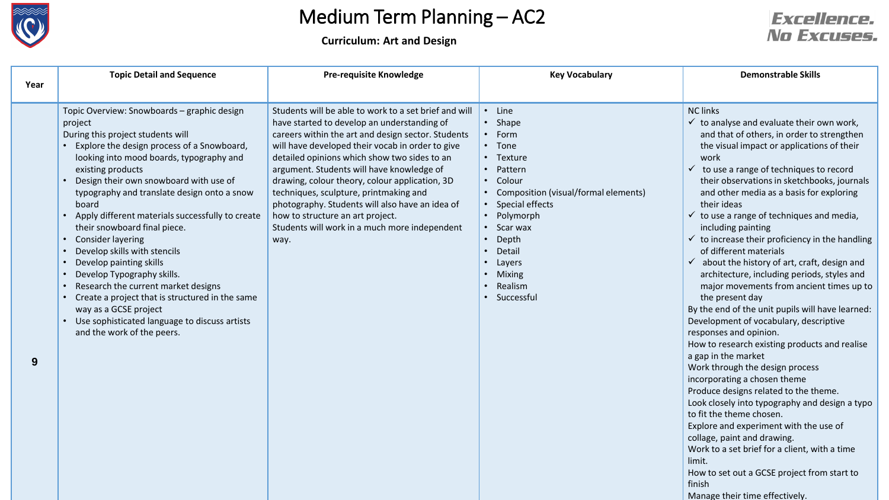

# Medium Term Planning – AC2

**Curriculum: Art and Design**

#### **Excellence.** No Excuses.

| Year | <b>Topic Detail and Sequence</b>                                                                                                                                                                                                                                                                                                                                                                                                                                                                                                                                                                                                                                                                                       | <b>Pre-requisite Knowledge</b>                                                                                                                                                                                                                                                                                                                                                                                                                                                                                                                          | <b>Key Vocabulary</b>                                                                                                                                                                                                                                | <b>Demonstrable Skills</b>                                                                                                                                                                                                                                                                                                                                                                                                                                                                                                                                                                                                                                                                                                                                                                                                                                                                                                                                                                                                                                                                                                                                                                                                                                                          |
|------|------------------------------------------------------------------------------------------------------------------------------------------------------------------------------------------------------------------------------------------------------------------------------------------------------------------------------------------------------------------------------------------------------------------------------------------------------------------------------------------------------------------------------------------------------------------------------------------------------------------------------------------------------------------------------------------------------------------------|---------------------------------------------------------------------------------------------------------------------------------------------------------------------------------------------------------------------------------------------------------------------------------------------------------------------------------------------------------------------------------------------------------------------------------------------------------------------------------------------------------------------------------------------------------|------------------------------------------------------------------------------------------------------------------------------------------------------------------------------------------------------------------------------------------------------|-------------------------------------------------------------------------------------------------------------------------------------------------------------------------------------------------------------------------------------------------------------------------------------------------------------------------------------------------------------------------------------------------------------------------------------------------------------------------------------------------------------------------------------------------------------------------------------------------------------------------------------------------------------------------------------------------------------------------------------------------------------------------------------------------------------------------------------------------------------------------------------------------------------------------------------------------------------------------------------------------------------------------------------------------------------------------------------------------------------------------------------------------------------------------------------------------------------------------------------------------------------------------------------|
| 9    | Topic Overview: Snowboards - graphic design<br>project<br>During this project students will<br>• Explore the design process of a Snowboard,<br>looking into mood boards, typography and<br>existing products<br>Design their own snowboard with use of<br>typography and translate design onto a snow<br>board<br>• Apply different materials successfully to create<br>their snowboard final piece.<br>Consider layering<br>Develop skills with stencils<br>Develop painting skills<br>Develop Typography skills.<br>Research the current market designs<br>Create a project that is structured in the same<br>way as a GCSE project<br>• Use sophisticated language to discuss artists<br>and the work of the peers. | Students will be able to work to a set brief and will<br>have started to develop an understanding of<br>careers within the art and design sector. Students<br>will have developed their vocab in order to give<br>detailed opinions which show two sides to an<br>argument. Students will have knowledge of<br>drawing, colour theory, colour application, 3D<br>techniques, sculpture, printmaking and<br>photography. Students will also have an idea of<br>how to structure an art project.<br>Students will work in a much more independent<br>way. | • Line<br>• Shape<br>• Form<br>• Tone<br>• Texture<br>Pattern<br>Colour<br>$\bullet$<br>Composition (visual/formal elements)<br>• Special effects<br>• Polymorph<br>• Scar wax<br>Depth<br>Detail<br>Layers<br>• Mixing<br>• Realism<br>• Successful | <b>NC links</b><br>$\checkmark$ to analyse and evaluate their own work,<br>and that of others, in order to strengthen<br>the visual impact or applications of their<br>work<br>$\checkmark$ to use a range of techniques to record<br>their observations in sketchbooks, journals<br>and other media as a basis for exploring<br>their ideas<br>$\checkmark$ to use a range of techniques and media,<br>including painting<br>$\checkmark$ to increase their proficiency in the handling<br>of different materials<br>$\checkmark$ about the history of art, craft, design and<br>architecture, including periods, styles and<br>major movements from ancient times up to<br>the present day<br>By the end of the unit pupils will have learned:<br>Development of vocabulary, descriptive<br>responses and opinion.<br>How to research existing products and realise<br>a gap in the market<br>Work through the design process<br>incorporating a chosen theme<br>Produce designs related to the theme.<br>Look closely into typography and design a typo<br>to fit the theme chosen.<br>Explore and experiment with the use of<br>collage, paint and drawing.<br>Work to a set brief for a client, with a time<br>limit.<br>How to set out a GCSE project from start to<br>finish |

Manage their time effectively.